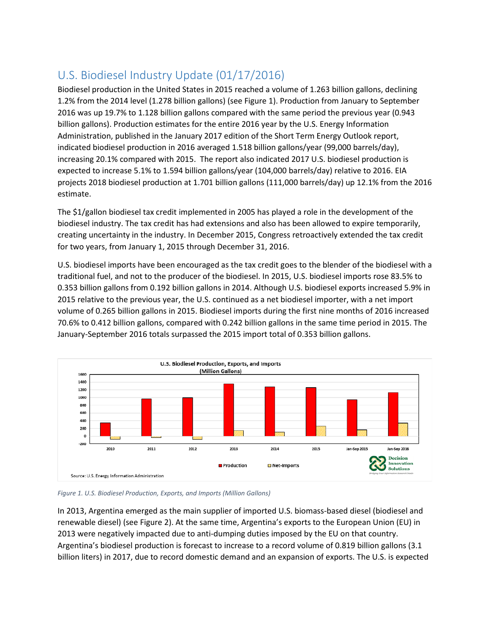## U.S. Biodiesel Industry Update (01/17/2016)

Biodiesel production in the United States in 2015 reached a volume of 1.263 billion gallons, declining 1.2% from the 2014 level (1.278 billion gallons) (see [Figure 1\)](#page-0-0). Production from January to September 2016 was up 19.7% to 1.128 billion gallons compared with the same period the previous year (0.943 billion gallons). Production estimates for the entire 2016 year by the U.S. Energy Information Administration, published in the January 2017 edition of the Short Term Energy Outlook report, indicated biodiesel production in 2016 averaged 1.518 billion gallons/year (99,000 barrels/day), increasing 20.1% compared with 2015. The report also indicated 2017 U.S. biodiesel production is expected to increase 5.1% to 1.594 billion gallons/year (104,000 barrels/day) relative to 2016. EIA projects 2018 biodiesel production at 1.701 billion gallons (111,000 barrels/day) up 12.1% from the 2016 estimate.

The \$1/gallon biodiesel tax credit implemented in 2005 has played a role in the development of the biodiesel industry. The tax credit has had extensions and also has been allowed to expire temporarily, creating uncertainty in the industry. In December 2015, Congress retroactively extended the tax credit for two years, from January 1, 2015 through December 31, 2016.

U.S. biodiesel imports have been encouraged as the tax credit goes to the blender of the biodiesel with a traditional fuel, and not to the producer of the biodiesel. In 2015, U.S. biodiesel imports rose 83.5% to 0.353 billion gallons from 0.192 billion gallons in 2014. Although U.S. biodiesel exports increased 5.9% in 2015 relative to the previous year, the U.S. continued as a net biodiesel importer, with a net import volume of 0.265 billion gallons in 2015. Biodiesel imports during the first nine months of 2016 increased 70.6% to 0.412 billion gallons, compared with 0.242 billion gallons in the same time period in 2015. The January-September 2016 totals surpassed the 2015 import total of 0.353 billion gallons.



<span id="page-0-0"></span>

In 2013, Argentina emerged as the main supplier of imported U.S. biomass-based diesel (biodiesel and renewable diesel) (see [Figure 2\)](#page-1-0). At the same time, Argentina's exports to the European Union (EU) in 2013 were negatively impacted due to anti-dumping duties imposed by the EU on that country. Argentina's biodiesel production is forecast to increase to a record volume of 0.819 billion gallons (3.1 billion liters) in 2017, due to record domestic demand and an expansion of exports. The U.S. is expected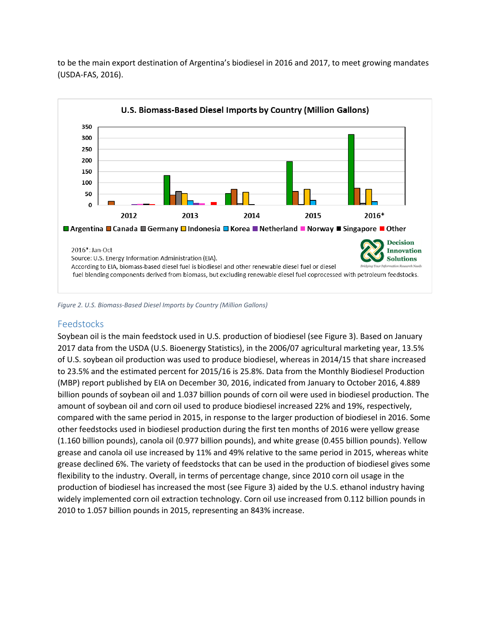

to be the main export destination of Argentina's biodiesel in 2016 and 2017, to meet growing mandates (USDA-FAS, 2016).

<span id="page-1-0"></span>*Figure 2. U.S. Biomass-Based Diesel Imports by Country (Million Gallons)*

## Feedstocks

Soybean oil is the main feedstock used in U.S. production of biodiesel (se[e Figure 3\)](#page-2-0). Based on January 2017 data from the USDA (U.S. Bioenergy Statistics), in the 2006/07 agricultural marketing year, 13.5% of U.S. soybean oil production was used to produce biodiesel, whereas in 2014/15 that share increased to 23.5% and the estimated percent for 2015/16 is 25.8%. Data from the Monthly Biodiesel Production (MBP) report published by EIA on December 30, 2016, indicated from January to October 2016, 4.889 billion pounds of soybean oil and 1.037 billion pounds of corn oil were used in biodiesel production. The amount of soybean oil and corn oil used to produce biodiesel increased 22% and 19%, respectively, compared with the same period in 2015, in response to the larger production of biodiesel in 2016. Some other feedstocks used in biodiesel production during the first ten months of 2016 were yellow grease (1.160 billion pounds), canola oil (0.977 billion pounds), and white grease (0.455 billion pounds). Yellow grease and canola oil use increased by 11% and 49% relative to the same period in 2015, whereas white grease declined 6%. The variety of feedstocks that can be used in the production of biodiesel gives some flexibility to the industry. Overall, in terms of percentage change, since 2010 corn oil usage in the production of biodiesel has increased the most (see Figure 3) aided by the U.S. ethanol industry having widely implemented corn oil extraction technology. Corn oil use increased from 0.112 billion pounds in 2010 to 1.057 billion pounds in 2015, representing an 843% increase.